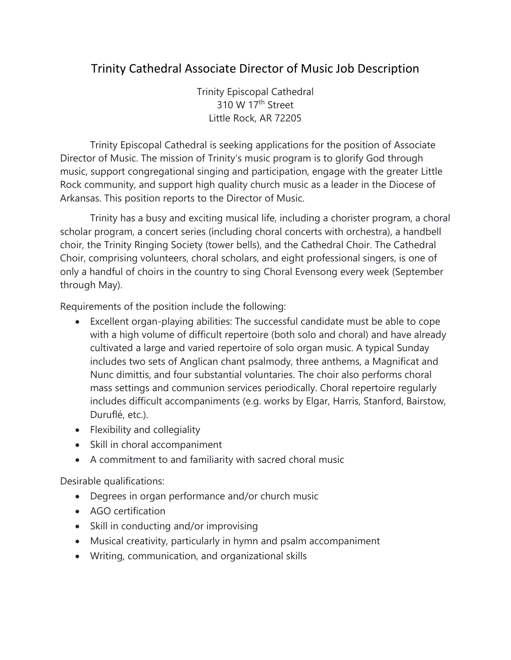## Trinity Cathedral Associate Director of Music Job Description

Trinity Episcopal Cathedral 310 W 17<sup>th</sup> Street Little Rock, AR 72205

Trinity Episcopal Cathedral is seeking applications for the position of Associate Director of Music. The mission of Trinity's music program is to glorify God through music, support congregational singing and participation, engage with the greater Little Rock community, and support high quality church music as a leader in the Diocese of Arkansas. This position reports to the Director of Music.

Trinity has a busy and exciting musical life, including a chorister program, a choral scholar program, a concert series (including choral concerts with orchestra), a handbell choir, the Trinity Ringing Society (tower bells), and the Cathedral Choir. The Cathedral Choir, comprising volunteers, choral scholars, and eight professional singers, is one of only a handful of choirs in the country to sing Choral Evensong every week (September through May).

Requirements of the position include the following:

- Excellent organ-playing abilities: The successful candidate must be able to cope with a high volume of difficult repertoire (both solo and choral) and have already cultivated a large and varied repertoire of solo organ music. A typical Sunday includes two sets of Anglican chant psalmody, three anthems, a Magnificat and Nunc dimittis, and four substantial voluntaries. The choir also performs choral mass settings and communion services periodically. Choral repertoire regularly includes difficult accompaniments (e.g. works by Elgar, Harris, Stanford, Bairstow, Duruflé, etc.).
- Flexibility and collegiality
- Skill in choral accompaniment
- A commitment to and familiarity with sacred choral music

Desirable qualifications:

- Degrees in organ performance and/or church music
- AGO certification
- Skill in conducting and/or improvising
- Musical creativity, particularly in hymn and psalm accompaniment
- Writing, communication, and organizational skills